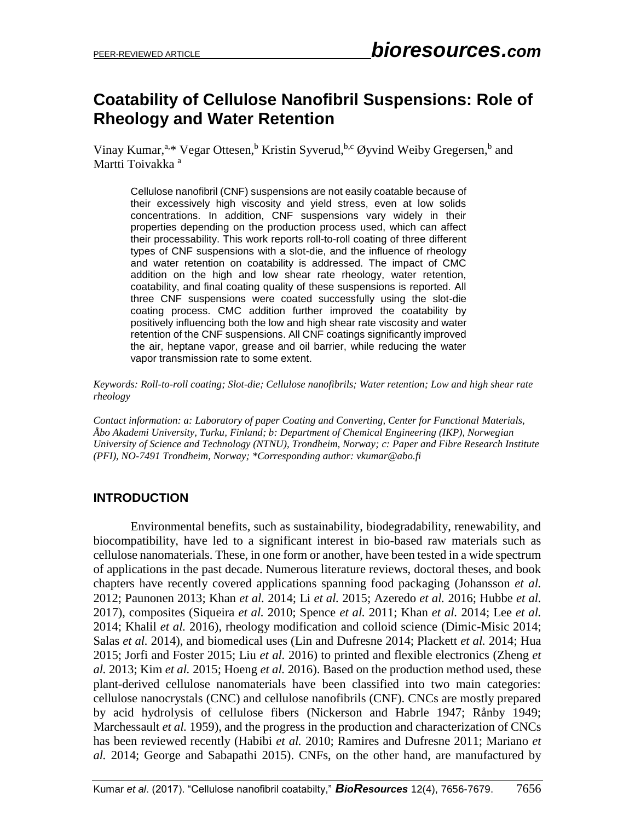# **Coatability of Cellulose Nanofibril Suspensions: Role of Rheology and Water Retention**

Vinay Kumar,<sup>a,\*</sup> Vegar Ottesen,<sup>b</sup> Kristin Syverud,<sup>b,c</sup> Øyvind Weiby Gregersen,<sup>b</sup> and Martti Toivakka<sup>a</sup>

Cellulose nanofibril (CNF) suspensions are not easily coatable because of their excessively high viscosity and yield stress, even at low solids concentrations. In addition, CNF suspensions vary widely in their properties depending on the production process used, which can affect their processability. This work reports roll-to-roll coating of three different types of CNF suspensions with a slot-die, and the influence of rheology and water retention on coatability is addressed. The impact of CMC addition on the high and low shear rate rheology, water retention, coatability, and final coating quality of these suspensions is reported. All three CNF suspensions were coated successfully using the slot-die coating process. CMC addition further improved the coatability by positively influencing both the low and high shear rate viscosity and water retention of the CNF suspensions. All CNF coatings significantly improved the air, heptane vapor, grease and oil barrier, while reducing the water vapor transmission rate to some extent.

*Keywords: Roll-to-roll coating; Slot-die; Cellulose nanofibrils; Water retention; Low and high shear rate rheology*

*Contact information: a: Laboratory of paper Coating and Converting, Center for Functional Materials, Åbo Akademi University, Turku, Finland; b: Department of Chemical Engineering (IKP), Norwegian University of Science and Technology (NTNU), Trondheim, Norway; c: Paper and Fibre Research Institute (PFI), NO-7491 Trondheim, Norway; \*Corresponding author: [vkumar@abo.fi](mailto:vkumar@abo.fi)*

# **INTRODUCTION**

Environmental benefits, such as sustainability, biodegradability, renewability, and biocompatibility, have led to a significant interest in bio-based raw materials such as cellulose nanomaterials. These, in one form or another, have been tested in a wide spectrum of applications in the past decade. Numerous literature reviews, doctoral theses, and book chapters have recently covered applications spanning food packaging (Johansson *et al.* 2012; Paunonen 2013; Khan *et al.* 2014; Li *et al.* 2015; Azeredo *et al.* 2016; Hubbe *et al.* 2017), composites (Siqueira *et al.* 2010; Spence *et al.* 2011; Khan *et al.* 2014; Lee *et al.* 2014; Khalil *et al.* 2016), rheology modification and colloid science (Dimic-Misic 2014; Salas *et al.* 2014), and biomedical uses (Lin and Dufresne 2014; Plackett *et al.* 2014; Hua 2015; Jorfi and Foster 2015; Liu *et al.* 2016) to printed and flexible electronics (Zheng *et al.* 2013; Kim *et al.* 2015; Hoeng *et al.* 2016). Based on the production method used, these plant-derived cellulose nanomaterials have been classified into two main categories: cellulose nanocrystals (CNC) and cellulose nanofibrils (CNF). CNCs are mostly prepared by acid hydrolysis of cellulose fibers (Nickerson and Habrle 1947; Rånby 1949; Marchessault *et al.* 1959), and the progress in the production and characterization of CNCs has been reviewed recently (Habibi *et al.* 2010; Ramires and Dufresne 2011; Mariano *et al.* 2014; George and Sabapathi 2015). CNFs, on the other hand, are manufactured by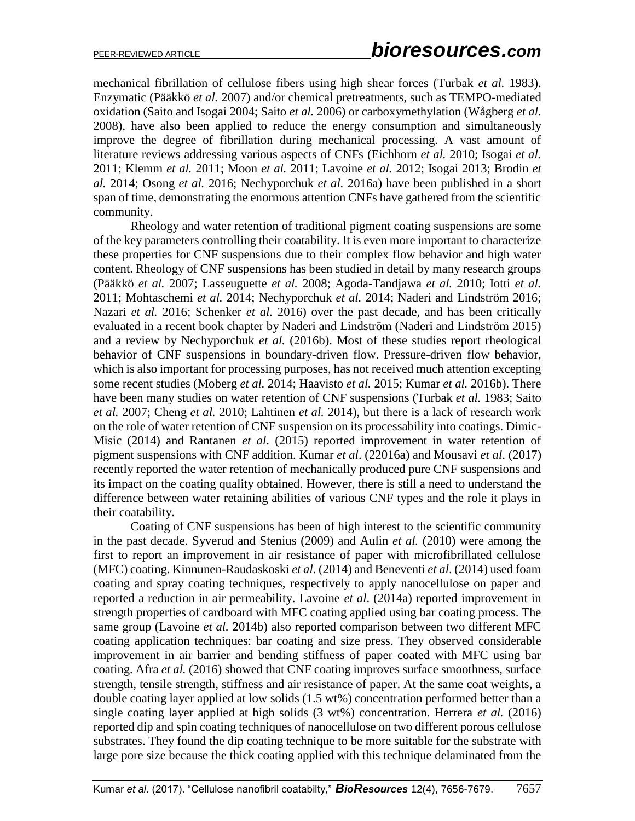mechanical fibrillation of cellulose fibers using high shear forces (Turbak *et al.* 1983). Enzymatic (Pääkkö *et al.* 2007) and/or chemical pretreatments, such as TEMPO-mediated oxidation (Saito and Isogai 2004; Saito *et al.* 2006) or carboxymethylation (Wågberg *et al.* 2008), have also been applied to reduce the energy consumption and simultaneously improve the degree of fibrillation during mechanical processing. A vast amount of literature reviews addressing various aspects of CNFs (Eichhorn *et al.* 2010; Isogai *et al.* 2011; Klemm *et al.* 2011; Moon *et al.* 2011; Lavoine *et al.* 2012; Isogai 2013; Brodin *et al.* 2014; Osong *et al.* 2016; Nechyporchuk *et al.* 2016a) have been published in a short span of time, demonstrating the enormous attention CNFs have gathered from the scientific community.

Rheology and water retention of traditional pigment coating suspensions are some of the key parameters controlling their coatability. It is even more important to characterize these properties for CNF suspensions due to their complex flow behavior and high water content. Rheology of CNF suspensions has been studied in detail by many research groups (Pääkkö *et al.* 2007; Lasseuguette *et al.* 2008; Agoda-Tandjawa *et al.* 2010; Iotti *et al.* 2011; Mohtaschemi *et al.* 2014; Nechyporchuk *et al.* 2014; Naderi and Lindström 2016; Nazari *et al.* 2016; Schenker *et al.* 2016) over the past decade, and has been critically evaluated in a recent book chapter by Naderi and Lindström (Naderi and Lindström 2015) and a review by Nechyporchuk *et al.* (2016b). Most of these studies report rheological behavior of CNF suspensions in boundary-driven flow. Pressure-driven flow behavior, which is also important for processing purposes, has not received much attention excepting some recent studies (Moberg *et al.* 2014; Haavisto *et al.* 2015; Kumar *et al.* 2016b). There have been many studies on water retention of CNF suspensions (Turbak *et al.* 1983; Saito *et al.* 2007; Cheng *et al.* 2010; Lahtinen *et al.* 2014), but there is a lack of research work on the role of water retention of CNF suspension on its processability into coatings. Dimic-Misic (2014) and Rantanen *et al*. (2015) reported improvement in water retention of pigment suspensions with CNF addition. Kumar *et al*. (22016a) and Mousavi *et al*. (2017) recently reported the water retention of mechanically produced pure CNF suspensions and its impact on the coating quality obtained. However, there is still a need to understand the difference between water retaining abilities of various CNF types and the role it plays in their coatability.

Coating of CNF suspensions has been of high interest to the scientific community in the past decade. Syverud and Stenius (2009) and Aulin *et al.* (2010) were among the first to report an improvement in air resistance of paper with microfibrillated cellulose (MFC) coating. Kinnunen-Raudaskoski *et al*. (2014) and Beneventi *et al*. (2014) used foam coating and spray coating techniques, respectively to apply nanocellulose on paper and reported a reduction in air permeability. Lavoine *et al*. (2014a) reported improvement in strength properties of cardboard with MFC coating applied using bar coating process. The same group (Lavoine *et al.* 2014b) also reported comparison between two different MFC coating application techniques: bar coating and size press. They observed considerable improvement in air barrier and bending stiffness of paper coated with MFC using bar coating. Afra *et al.* (2016) showed that CNF coating improves surface smoothness, surface strength, tensile strength, stiffness and air resistance of paper. At the same coat weights, a double coating layer applied at low solids (1.5 wt%) concentration performed better than a single coating layer applied at high solids (3 wt%) concentration. Herrera *et al.* (2016) reported dip and spin coating techniques of nanocellulose on two different porous cellulose substrates. They found the dip coating technique to be more suitable for the substrate with large pore size because the thick coating applied with this technique delaminated from the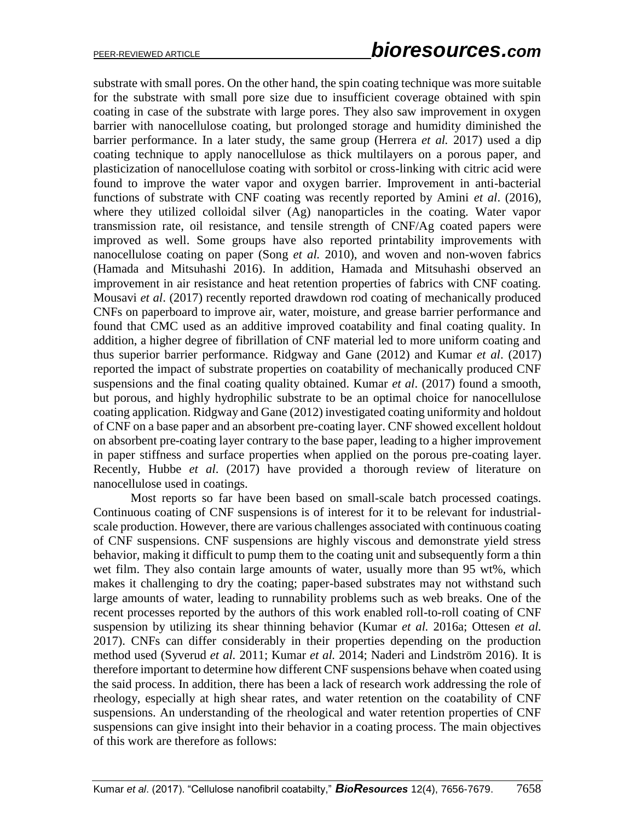substrate with small pores. On the other hand, the spin coating technique was more suitable for the substrate with small pore size due to insufficient coverage obtained with spin coating in case of the substrate with large pores. They also saw improvement in oxygen barrier with nanocellulose coating, but prolonged storage and humidity diminished the barrier performance. In a later study, the same group (Herrera *et al.* 2017) used a dip coating technique to apply nanocellulose as thick multilayers on a porous paper, and plasticization of nanocellulose coating with sorbitol or cross-linking with citric acid were found to improve the water vapor and oxygen barrier. Improvement in anti-bacterial functions of substrate with CNF coating was recently reported by Amini *et al*. (2016), where they utilized colloidal silver (Ag) nanoparticles in the coating. Water vapor transmission rate, oil resistance, and tensile strength of CNF/Ag coated papers were improved as well. Some groups have also reported printability improvements with nanocellulose coating on paper (Song *et al.* 2010), and woven and non-woven fabrics (Hamada and Mitsuhashi 2016). In addition, Hamada and Mitsuhashi observed an improvement in air resistance and heat retention properties of fabrics with CNF coating. Mousavi *et al*. (2017) recently reported drawdown rod coating of mechanically produced CNFs on paperboard to improve air, water, moisture, and grease barrier performance and found that CMC used as an additive improved coatability and final coating quality. In addition, a higher degree of fibrillation of CNF material led to more uniform coating and thus superior barrier performance. Ridgway and Gane (2012) and Kumar *et al*. (2017) reported the impact of substrate properties on coatability of mechanically produced CNF suspensions and the final coating quality obtained. Kumar *et al*. (2017) found a smooth, but porous, and highly hydrophilic substrate to be an optimal choice for nanocellulose coating application. Ridgway and Gane (2012) investigated coating uniformity and holdout of CNF on a base paper and an absorbent pre-coating layer. CNF showed excellent holdout on absorbent pre-coating layer contrary to the base paper, leading to a higher improvement in paper stiffness and surface properties when applied on the porous pre-coating layer. Recently, Hubbe *et al*. (2017) have provided a thorough review of literature on nanocellulose used in coatings.

Most reports so far have been based on small-scale batch processed coatings. Continuous coating of CNF suspensions is of interest for it to be relevant for industrialscale production. However, there are various challenges associated with continuous coating of CNF suspensions. CNF suspensions are highly viscous and demonstrate yield stress behavior, making it difficult to pump them to the coating unit and subsequently form a thin wet film. They also contain large amounts of water, usually more than 95 wt%, which makes it challenging to dry the coating; paper-based substrates may not withstand such large amounts of water, leading to runnability problems such as web breaks. One of the recent processes reported by the authors of this work enabled roll-to-roll coating of CNF suspension by utilizing its shear thinning behavior (Kumar *et al.* 2016a; Ottesen *et al.* 2017). CNFs can differ considerably in their properties depending on the production method used (Syverud *et al.* 2011; Kumar *et al.* 2014; Naderi and Lindström 2016). It is therefore important to determine how different CNF suspensions behave when coated using the said process. In addition, there has been a lack of research work addressing the role of rheology, especially at high shear rates, and water retention on the coatability of CNF suspensions. An understanding of the rheological and water retention properties of CNF suspensions can give insight into their behavior in a coating process. The main objectives of this work are therefore as follows: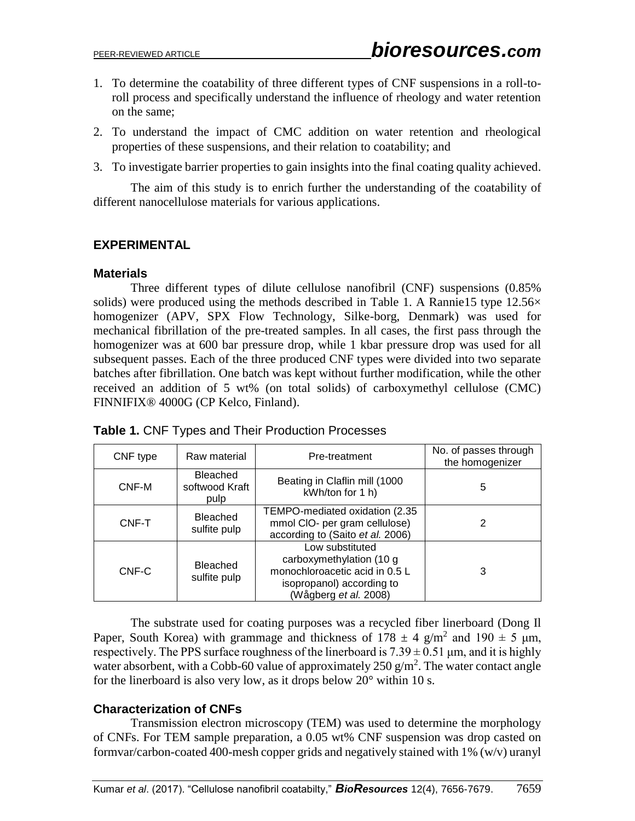- 1. To determine the coatability of three different types of CNF suspensions in a roll-toroll process and specifically understand the influence of rheology and water retention on the same;
- 2. To understand the impact of CMC addition on water retention and rheological properties of these suspensions, and their relation to coatability; and
- 3. To investigate barrier properties to gain insights into the final coating quality achieved.

The aim of this study is to enrich further the understanding of the coatability of different nanocellulose materials for various applications.

#### **EXPERIMENTAL**

#### **Materials**

Three different types of dilute cellulose nanofibril (CNF) suspensions (0.85% solids) were produced using the methods described in [Table 1.](#page-3-0) A Rannie15 type  $12.56\times$ homogenizer (APV, SPX Flow Technology, Silke-borg, Denmark) was used for mechanical fibrillation of the pre-treated samples. In all cases, the first pass through the homogenizer was at 600 bar pressure drop, while 1 kbar pressure drop was used for all subsequent passes. Each of the three produced CNF types were divided into two separate batches after fibrillation. One batch was kept without further modification, while the other received an addition of 5 wt% (on total solids) of carboxymethyl cellulose (CMC) FINNIFIX® 4000G (CP Kelco, Finland).

| CNF type | Raw material                              | Pre-treatment                                                                                                                       | No. of passes through<br>the homogenizer |  |
|----------|-------------------------------------------|-------------------------------------------------------------------------------------------------------------------------------------|------------------------------------------|--|
| CNF-M    | <b>Bleached</b><br>softwood Kraft<br>pulp | Beating in Claflin mill (1000<br>kWh/ton for 1 h)                                                                                   | 5                                        |  |
| CNF-T    | <b>Bleached</b><br>sulfite pulp           | TEMPO-mediated oxidation (2.35<br>mmol CIO- per gram cellulose)<br>according to (Saito et al. 2006)                                 |                                          |  |
| CNF-C    | Bleached<br>sulfite pulp                  | Low substituted<br>carboxymethylation (10 g<br>monochloroacetic acid in 0.5 L<br>isopropanol) according to<br>(Wågberg et al. 2008) | 3                                        |  |

<span id="page-3-0"></span>**Table 1.** CNF Types and Their Production Processes

The substrate used for coating purposes was a recycled fiber linerboard (Dong Il Paper, South Korea) with grammage and thickness of  $178 \pm 4$  g/m<sup>2</sup> and  $190 \pm 5$  µm, respectively. The PPS surface roughness of the linerboard is  $7.39 \pm 0.51$  µm, and it is highly water absorbent, with a Cobb-60 value of approximately  $250 \text{ g/m}^2$ . The water contact angle for the linerboard is also very low, as it drops below 20° within 10 s.

## **Characterization of CNFs**

Transmission electron microscopy (TEM) was used to determine the morphology of CNFs. For TEM sample preparation, a 0.05 wt% CNF suspension was drop casted on formvar/carbon-coated 400-mesh copper grids and negatively stained with 1% (w/v) uranyl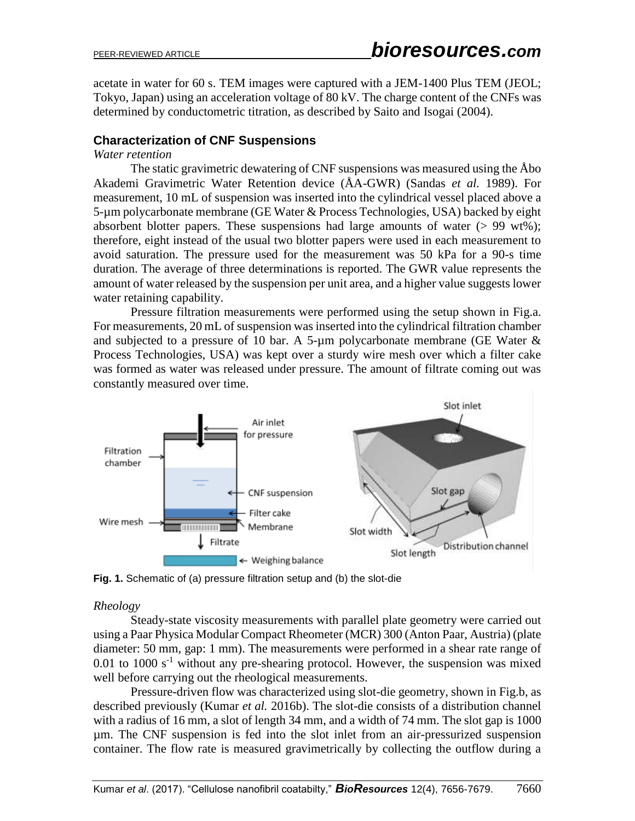acetate in water for 60 s. TEM images were captured with a JEM-1400 Plus TEM (JEOL; Tokyo, Japan) using an acceleration voltage of 80 kV. The charge content of the CNFs was determined by conductometric titration, as described by Saito and Isogai (2004).

# **Characterization of CNF Suspensions**

#### *Water retention*

The static gravimetric dewatering of CNF suspensions was measured using the Åbo Akademi Gravimetric Water Retention device (ÅA-GWR) (Sandas *et al.* 1989). For measurement, 10 mL of suspension was inserted into the cylindrical vessel placed above a 5-µm polycarbonate membrane (GE Water & Process Technologies, USA) backed by eight absorbent blotter papers. These suspensions had large amounts of water  $(> 99 \text{ wt\%})$ ; therefore, eight instead of the usual two blotter papers were used in each measurement to avoid saturation. The pressure used for the measurement was 50 kPa for a 90-s time duration. The average of three determinations is reported. The GWR value represents the amount of water released by the suspension per unit area, and a higher value suggests lower water retaining capability.

Pressure filtration measurements were performed using the setup shown in [Fig.a](#page-4-0). For measurements, 20 mL of suspension was inserted into the cylindrical filtration chamber and subjected to a pressure of 10 bar. A 5-µm polycarbonate membrane (GE Water  $\&$ Process Technologies, USA) was kept over a sturdy wire mesh over which a filter cake was formed as water was released under pressure. The amount of filtrate coming out was constantly measured over time.



<span id="page-4-0"></span>**Fig. 1.** Schematic of (a) pressure filtration setup and (b) the slot-die

#### *Rheology*

Steady-state viscosity measurements with parallel plate geometry were carried out using a Paar Physica Modular Compact Rheometer (MCR) 300 (Anton Paar, Austria) (plate diameter: 50 mm, gap: 1 mm). The measurements were performed in a shear rate range of  $0.01$  to  $1000$  s<sup>-1</sup> without any pre-shearing protocol. However, the suspension was mixed well before carrying out the rheological measurements.

Pressure-driven flow was characterized using slot-die geometry, shown in [Fig.b](#page-4-0), as described previously (Kumar *et al.* 2016b). The slot-die consists of a distribution channel with a radius of 16 mm, a slot of length 34 mm, and a width of 74 mm. The slot gap is 1000 µm. The CNF suspension is fed into the slot inlet from an air-pressurized suspension container. The flow rate is measured gravimetrically by collecting the outflow during a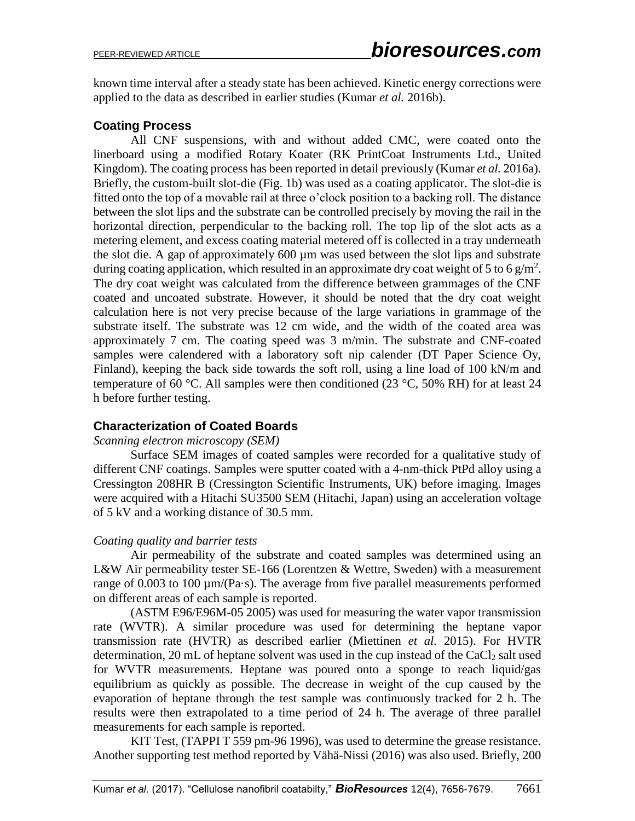known time interval after a steady state has been achieved. Kinetic energy corrections were applied to the data as described in earlier studies (Kumar *et al.* 2016b).

# **Coating Process**

All CNF suspensions, with and without added CMC, were coated onto the linerboard using a modified Rotary Koater (RK PrintCoat Instruments Ltd., United Kingdom). The coating process has been reported in detail previously (Kumar *et al.* 2016a). Briefly, the custom-built slot-die (Fig. 1b) was used as a coating applicator. The slot-die is fitted onto the top of a movable rail at three o'clock position to a backing roll. The distance between the slot lips and the substrate can be controlled precisely by moving the rail in the horizontal direction, perpendicular to the backing roll. The top lip of the slot acts as a metering element, and excess coating material metered off is collected in a tray underneath the slot die. A gap of approximately 600 µm was used between the slot lips and substrate during coating application, which resulted in an approximate dry coat weight of 5 to 6 g/m<sup>2</sup>. The dry coat weight was calculated from the difference between grammages of the CNF coated and uncoated substrate. However, it should be noted that the dry coat weight calculation here is not very precise because of the large variations in grammage of the substrate itself. The substrate was 12 cm wide, and the width of the coated area was approximately 7 cm. The coating speed was 3 m/min. The substrate and CNF-coated samples were calendered with a laboratory soft nip calender (DT Paper Science Oy, Finland), keeping the back side towards the soft roll, using a line load of 100 kN/m and temperature of 60 °C. All samples were then conditioned (23 °C, 50% RH) for at least 24 h before further testing.

## **Characterization of Coated Boards**

#### *Scanning electron microscopy (SEM)*

Surface SEM images of coated samples were recorded for a qualitative study of different CNF coatings. Samples were sputter coated with a 4-nm-thick PtPd alloy using a Cressington 208HR B (Cressington Scientific Instruments, UK) before imaging. Images were acquired with a Hitachi SU3500 SEM (Hitachi, Japan) using an acceleration voltage of 5 kV and a working distance of 30.5 mm.

## *Coating quality and barrier tests*

Air permeability of the substrate and coated samples was determined using an L&W Air permeability tester SE-166 (Lorentzen & Wettre, Sweden) with a measurement range of 0.003 to 100 µm/(Pa·s). The average from five parallel measurements performed on different areas of each sample is reported.

(ASTM E96/E96M-05 2005) was used for measuring the water vapor transmission rate (WVTR). A similar procedure was used for determining the heptane vapor transmission rate (HVTR) as described earlier (Miettinen *et al.* 2015). For HVTR determination, 20 mL of heptane solvent was used in the cup instead of the  $CaCl<sub>2</sub>$  salt used for WVTR measurements. Heptane was poured onto a sponge to reach liquid/gas equilibrium as quickly as possible. The decrease in weight of the cup caused by the evaporation of heptane through the test sample was continuously tracked for 2 h. The results were then extrapolated to a time period of 24 h. The average of three parallel measurements for each sample is reported.

KIT Test, (TAPPI T 559 pm-96 1996), was used to determine the grease resistance. Another supporting test method reported by Vähä-Nissi (2016) was also used. Briefly, 200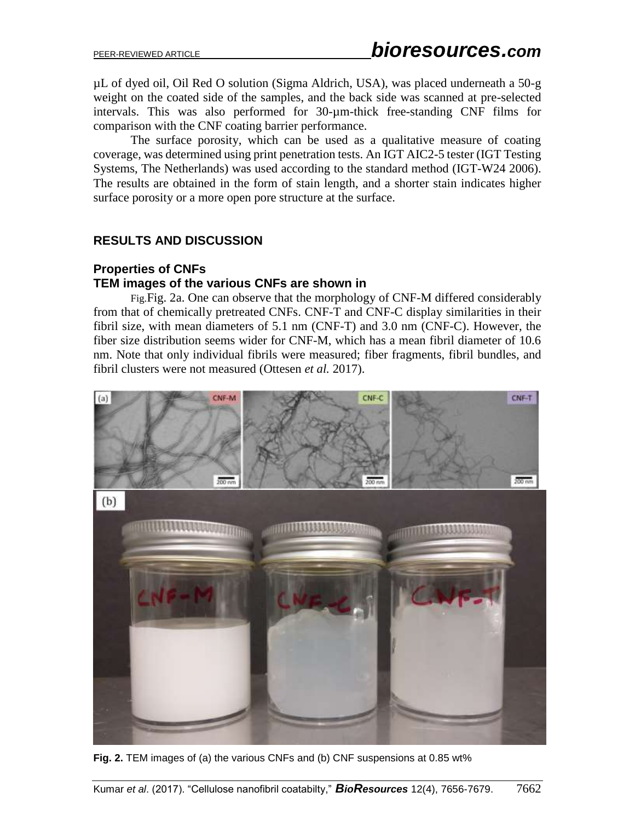µL of dyed oil, Oil Red O solution (Sigma Aldrich, USA), was placed underneath a 50-g weight on the coated side of the samples, and the back side was scanned at pre-selected intervals. This was also performed for 30-µm-thick free-standing CNF films for comparison with the CNF coating barrier performance.

The surface porosity, which can be used as a qualitative measure of coating coverage, was determined using print penetration tests. An IGT AIC2-5 tester (IGT Testing Systems, The Netherlands) was used according to the standard method (IGT-W24 2006). The results are obtained in the form of stain length, and a shorter stain indicates higher surface porosity or a more open pore structure at the surface.

## **RESULTS AND DISCUSSION**

#### **Properties of CNFs TEM images of the various CNFs are shown in**

[Fig.](#page-6-0)Fig. 2a. One can observe that the morphology of CNF-M differed considerably from that of chemically pretreated CNFs. CNF-T and CNF-C display similarities in their fibril size, with mean diameters of 5.1 nm (CNF-T) and 3.0 nm (CNF-C). However, the fiber size distribution seems wider for CNF-M, which has a mean fibril diameter of 10.6 nm. Note that only individual fibrils were measured; fiber fragments, fibril bundles, and fibril clusters were not measured (Ottesen *et al.* 2017).



<span id="page-6-0"></span>**Fig. 2.** TEM images of (a) the various CNFs and (b) CNF suspensions at 0.85 wt%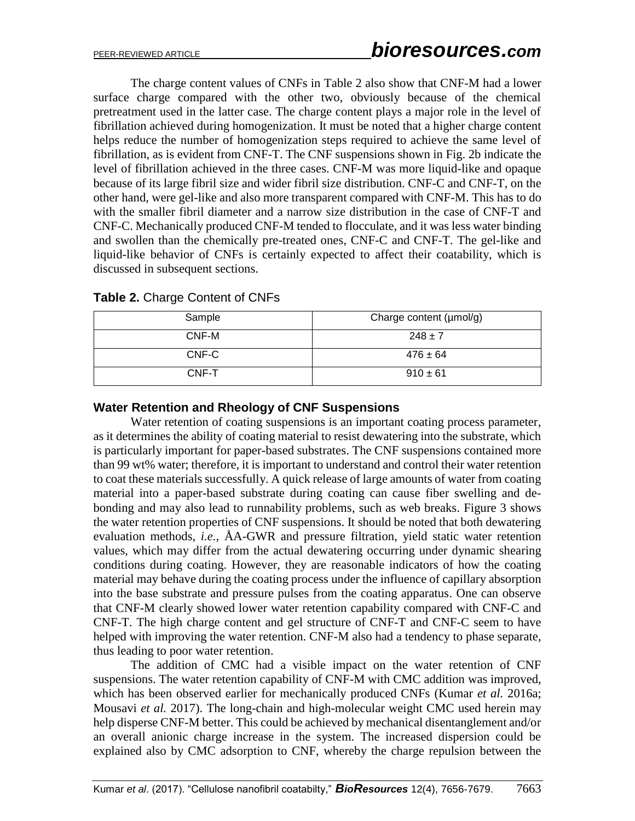The charge content values of CNFs in Table 2 also show that CNF-M had a lower surface charge compared with the other two, obviously because of the chemical pretreatment used in the latter case. The charge content plays a major role in the level of fibrillation achieved during homogenization. It must be noted that a higher charge content helps reduce the number of homogenization steps required to achieve the same level of fibrillation, as is evident from CNF-T. The CNF suspensions shown in Fig. 2b indicate the level of fibrillation achieved in the three cases. CNF-M was more liquid-like and opaque because of its large fibril size and wider fibril size distribution. CNF-C and CNF-T, on the other hand, were gel-like and also more transparent compared with CNF-M. This has to do with the smaller fibril diameter and a narrow size distribution in the case of CNF-T and CNF-C. Mechanically produced CNF-M tended to flocculate, and it was less water binding and swollen than the chemically pre-treated ones, CNF-C and CNF-T. The gel-like and liquid-like behavior of CNFs is certainly expected to affect their coatability, which is discussed in subsequent sections.

| Sample | Charge content (µmol/g) |
|--------|-------------------------|
| CNF-M  | $248 \pm 7$             |
| CNF-C  | $476 \pm 64$            |
| CNF-T  | $910 \pm 61$            |

**Table 2.** Charge Content of CNFs

#### **Water Retention and Rheology of CNF Suspensions**

Water retention of coating suspensions is an important coating process parameter, as it determines the ability of coating material to resist dewatering into the substrate, which is particularly important for paper-based substrates. The CNF suspensions contained more than 99 wt% water; therefore, it is important to understand and control their water retention to coat these materials successfully. A quick release of large amounts of water from coating material into a paper-based substrate during coating can cause fiber swelling and debonding and may also lead to runnability problems, such as web breaks. Figure 3 shows the water retention properties of CNF suspensions. It should be noted that both dewatering evaluation methods, *i.e.*, ÅA-GWR and pressure filtration, yield static water retention values, which may differ from the actual dewatering occurring under dynamic shearing conditions during coating. However, they are reasonable indicators of how the coating material may behave during the coating process under the influence of capillary absorption into the base substrate and pressure pulses from the coating apparatus. One can observe that CNF-M clearly showed lower water retention capability compared with CNF-C and CNF-T. The high charge content and gel structure of CNF-T and CNF-C seem to have helped with improving the water retention. CNF-M also had a tendency to phase separate, thus leading to poor water retention.

The addition of CMC had a visible impact on the water retention of CNF suspensions. The water retention capability of CNF-M with CMC addition was improved, which has been observed earlier for mechanically produced CNFs (Kumar *et al.* 2016a; Mousavi *et al.* 2017). The long-chain and high-molecular weight CMC used herein may help disperse CNF-M better. This could be achieved by mechanical disentanglement and/or an overall anionic charge increase in the system. The increased dispersion could be explained also by CMC adsorption to CNF, whereby the charge repulsion between the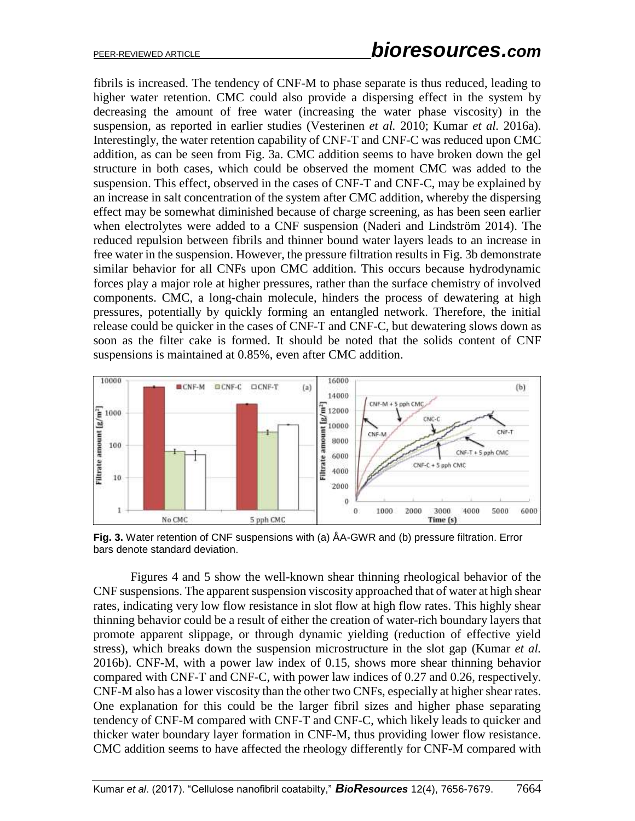fibrils is increased. The tendency of CNF-M to phase separate is thus reduced, leading to higher water retention. CMC could also provide a dispersing effect in the system by decreasing the amount of free water (increasing the water phase viscosity) in the suspension, as reported in earlier studies (Vesterinen *et al.* 2010; Kumar *et al.* 2016a). Interestingly, the water retention capability of CNF-T and CNF-C was reduced upon CMC addition, as can be seen from Fig. 3a. CMC addition seems to have broken down the gel structure in both cases, which could be observed the moment CMC was added to the suspension. This effect, observed in the cases of CNF-T and CNF-C, may be explained by an increase in salt concentration of the system after CMC addition, whereby the dispersing effect may be somewhat diminished because of charge screening, as has been seen earlier when electrolytes were added to a CNF suspension (Naderi and Lindström 2014). The reduced repulsion between fibrils and thinner bound water layers leads to an increase in free water in the suspension. However, the pressure filtration results in Fig. 3b demonstrate similar behavior for all CNFs upon CMC addition. This occurs because hydrodynamic forces play a major role at higher pressures, rather than the surface chemistry of involved components. CMC, a long-chain molecule, hinders the process of dewatering at high pressures, potentially by quickly forming an entangled network. Therefore, the initial release could be quicker in the cases of CNF-T and CNF-C, but dewatering slows down as soon as the filter cake is formed. It should be noted that the solids content of CNF suspensions is maintained at 0.85%, even after CMC addition.



**Fig. 3.** Water retention of CNF suspensions with (a) ÅA-GWR and (b) pressure filtration. Error bars denote standard deviation.

Figures 4 and 5 show the well-known shear thinning rheological behavior of the CNF suspensions. The apparent suspension viscosity approached that of water at high shear rates, indicating very low flow resistance in slot flow at high flow rates. This highly shear thinning behavior could be a result of either the creation of water-rich boundary layers that promote apparent slippage, or through dynamic yielding (reduction of effective yield stress), which breaks down the suspension microstructure in the slot gap (Kumar *et al.* 2016b). CNF-M, with a power law index of 0.15, shows more shear thinning behavior compared with CNF-T and CNF-C, with power law indices of 0.27 and 0.26, respectively. CNF-M also has a lower viscosity than the other two CNFs, especially at higher shear rates. One explanation for this could be the larger fibril sizes and higher phase separating tendency of CNF-M compared with CNF-T and CNF-C, which likely leads to quicker and thicker water boundary layer formation in CNF-M, thus providing lower flow resistance. CMC addition seems to have affected the rheology differently for CNF-M compared with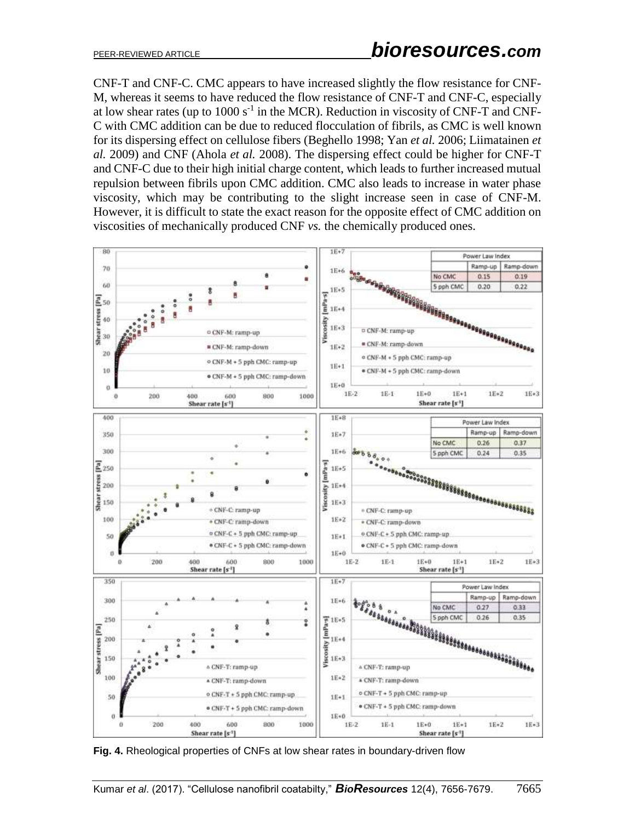CNF-T and CNF-C. CMC appears to have increased slightly the flow resistance for CNF-M, whereas it seems to have reduced the flow resistance of CNF-T and CNF-C, especially at low shear rates (up to  $1000 s<sup>-1</sup>$  in the MCR). Reduction in viscosity of CNF-T and CNF-C with CMC addition can be due to reduced flocculation of fibrils, as CMC is well known for its dispersing effect on cellulose fibers (Beghello 1998; Yan *et al.* 2006; Liimatainen *et al.* 2009) and CNF (Ahola *et al.* 2008). The dispersing effect could be higher for CNF-T and CNF-C due to their high initial charge content, which leads to further increased mutual repulsion between fibrils upon CMC addition. CMC also leads to increase in water phase viscosity, which may be contributing to the slight increase seen in case of CNF-M. However, it is difficult to state the exact reason for the opposite effect of CMC addition on viscosities of mechanically produced CNF *vs.* the chemically produced ones.



**Fig. 4.** Rheological properties of CNFs at low shear rates in boundary-driven flow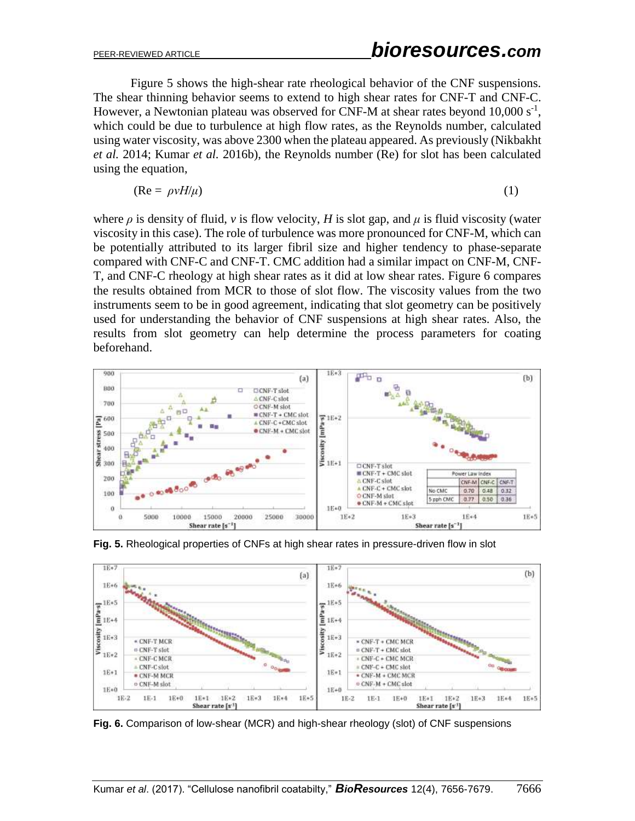Figure 5 shows the high-shear rate rheological behavior of the CNF suspensions. The shear thinning behavior seems to extend to high shear rates for CNF-T and CNF-C. However, a Newtonian plateau was observed for CNF-M at shear rates beyond  $10,000 s^{-1}$ , which could be due to turbulence at high flow rates, as the Reynolds number, calculated using water viscosity, was above 2300 when the plateau appeared. As previously (Nikbakht *et al.* 2014; Kumar *et al.* 2016b), the Reynolds number (Re) for slot has been calculated using the equation,

$$
(\text{Re} = \rho v H/\mu) \tag{1}
$$

where  $\rho$  is density of fluid, *v* is flow velocity, *H* is slot gap, and  $\mu$  is fluid viscosity (water viscosity in this case). The role of turbulence was more pronounced for CNF-M, which can be potentially attributed to its larger fibril size and higher tendency to phase-separate compared with CNF-C and CNF-T. CMC addition had a similar impact on CNF-M, CNF-T, and CNF-C rheology at high shear rates as it did at low shear rates. Figure 6 compares the results obtained from MCR to those of slot flow. The viscosity values from the two instruments seem to be in good agreement, indicating that slot geometry can be positively used for understanding the behavior of CNF suspensions at high shear rates. Also, the results from slot geometry can help determine the process parameters for coating beforehand.



**Fig. 5.** Rheological properties of CNFs at high shear rates in pressure-driven flow in slot



**Fig. 6.** Comparison of low-shear (MCR) and high-shear rheology (slot) of CNF suspensions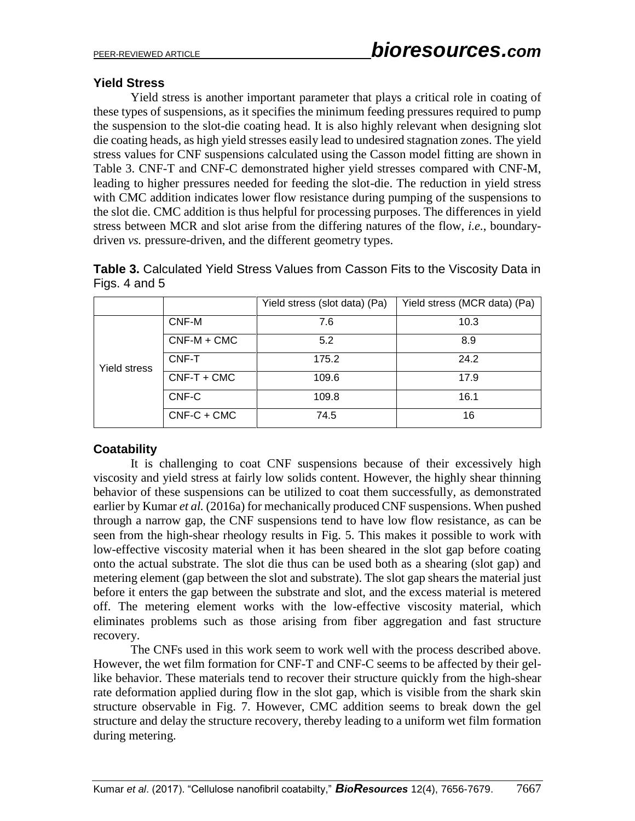# **Yield Stress**

Yield stress is another important parameter that plays a critical role in coating of these types of suspensions, as it specifies the minimum feeding pressures required to pump the suspension to the slot-die coating head. It is also highly relevant when designing slot die coating heads, as high yield stresses easily lead to undesired stagnation zones. The yield stress values for CNF suspensions calculated using the Casson model fitting are shown in Table 3. CNF-T and CNF-C demonstrated higher yield stresses compared with CNF-M, leading to higher pressures needed for feeding the slot-die. The reduction in yield stress with CMC addition indicates lower flow resistance during pumping of the suspensions to the slot die. CMC addition is thus helpful for processing purposes. The differences in yield stress between MCR and slot arise from the differing natures of the flow, *i.e.*, boundarydriven *vs.* pressure-driven, and the different geometry types.

| Table 3. Calculated Yield Stress Values from Casson Fits to the Viscosity Data in |  |  |  |
|-----------------------------------------------------------------------------------|--|--|--|
| Figs. 4 and $5$                                                                   |  |  |  |

|              |               | Yield stress (slot data) (Pa) | Yield stress (MCR data) (Pa) |
|--------------|---------------|-------------------------------|------------------------------|
| Yield stress | CNF-M         | 7.6                           | 10.3                         |
|              | $CNF-M + CMC$ | 5.2                           | 8.9                          |
|              | CNF-T         | 175.2                         | 24.2                         |
|              | $CNF-T + CMC$ | 109.6                         | 17.9                         |
|              | CNF-C         | 109.8                         | 16.1                         |
|              | $CNF-C + CMC$ | 74.5                          | 16                           |

## **Coatability**

It is challenging to coat CNF suspensions because of their excessively high viscosity and yield stress at fairly low solids content. However, the highly shear thinning behavior of these suspensions can be utilized to coat them successfully, as demonstrated earlier by Kumar *et al.* (2016a) for mechanically produced CNF suspensions. When pushed through a narrow gap, the CNF suspensions tend to have low flow resistance, as can be seen from the high-shear rheology results in Fig. 5. This makes it possible to work with low-effective viscosity material when it has been sheared in the slot gap before coating onto the actual substrate. The slot die thus can be used both as a shearing (slot gap) and metering element (gap between the slot and substrate). The slot gap shears the material just before it enters the gap between the substrate and slot, and the excess material is metered off. The metering element works with the low-effective viscosity material, which eliminates problems such as those arising from fiber aggregation and fast structure recovery.

The CNFs used in this work seem to work well with the process described above. However, the wet film formation for CNF-T and CNF-C seems to be affected by their gellike behavior. These materials tend to recover their structure quickly from the high-shear rate deformation applied during flow in the slot gap, which is visible from the shark skin structure observable in Fig. 7. However, CMC addition seems to break down the gel structure and delay the structure recovery, thereby leading to a uniform wet film formation during metering.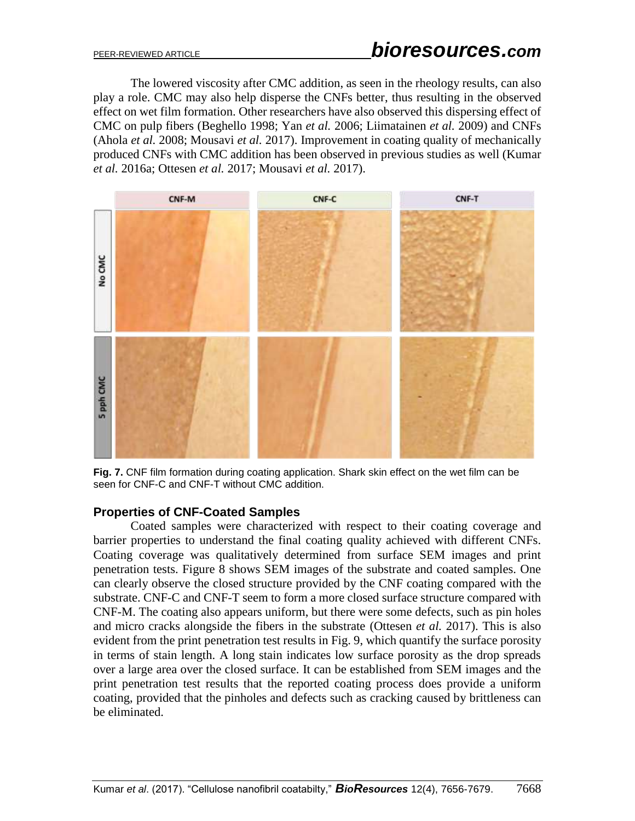The lowered viscosity after CMC addition, as seen in the rheology results, can also play a role. CMC may also help disperse the CNFs better, thus resulting in the observed effect on wet film formation. Other researchers have also observed this dispersing effect of CMC on pulp fibers (Beghello 1998; Yan *et al.* 2006; Liimatainen *et al.* 2009) and CNFs (Ahola *et al.* 2008; Mousavi *et al.* 2017). Improvement in coating quality of mechanically produced CNFs with CMC addition has been observed in previous studies as well (Kumar *et al.* 2016a; Ottesen *et al.* 2017; Mousavi *et al.* 2017).



**Fig. 7.** CNF film formation during coating application. Shark skin effect on the wet film can be seen for CNF-C and CNF-T without CMC addition.

## **Properties of CNF-Coated Samples**

Coated samples were characterized with respect to their coating coverage and barrier properties to understand the final coating quality achieved with different CNFs. Coating coverage was qualitatively determined from surface SEM images and print penetration tests. Figure 8 shows SEM images of the substrate and coated samples. One can clearly observe the closed structure provided by the CNF coating compared with the substrate. CNF-C and CNF-T seem to form a more closed surface structure compared with CNF-M. The coating also appears uniform, but there were some defects, such as pin holes and micro cracks alongside the fibers in the substrate (Ottesen *et al.* 2017). This is also evident from the print penetration test results in Fig. 9, which quantify the surface porosity in terms of stain length. A long stain indicates low surface porosity as the drop spreads over a large area over the closed surface. It can be established from SEM images and the print penetration test results that the reported coating process does provide a uniform coating, provided that the pinholes and defects such as cracking caused by brittleness can be eliminated.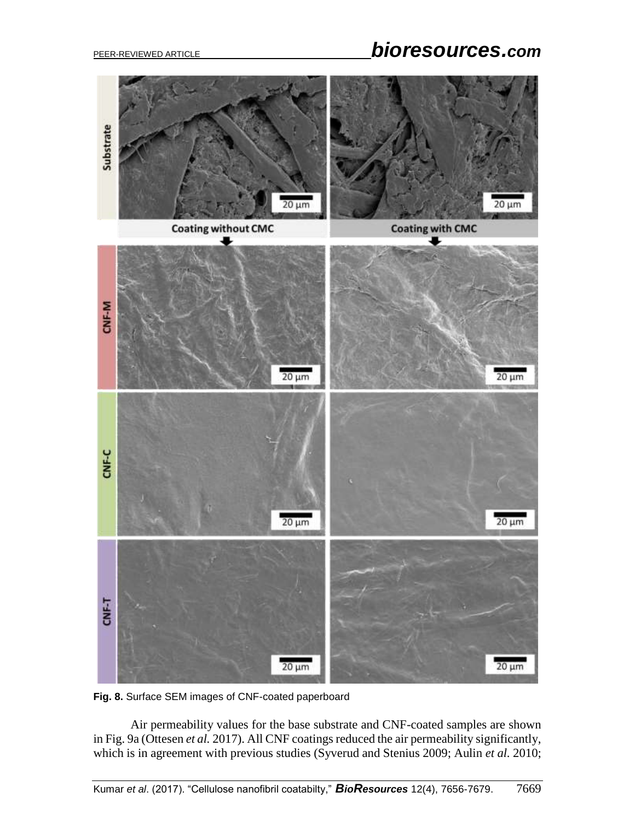# PEER-REVIEWED ARTICLE *bioresources.com*



**Fig. 8.** Surface SEM images of CNF-coated paperboard

Air permeability values for the base substrate and CNF-coated samples are shown in Fig. 9a (Ottesen *et al.* 2017). All CNF coatings reduced the air permeability significantly, which is in agreement with previous studies (Syverud and Stenius 2009; Aulin *et al.* 2010;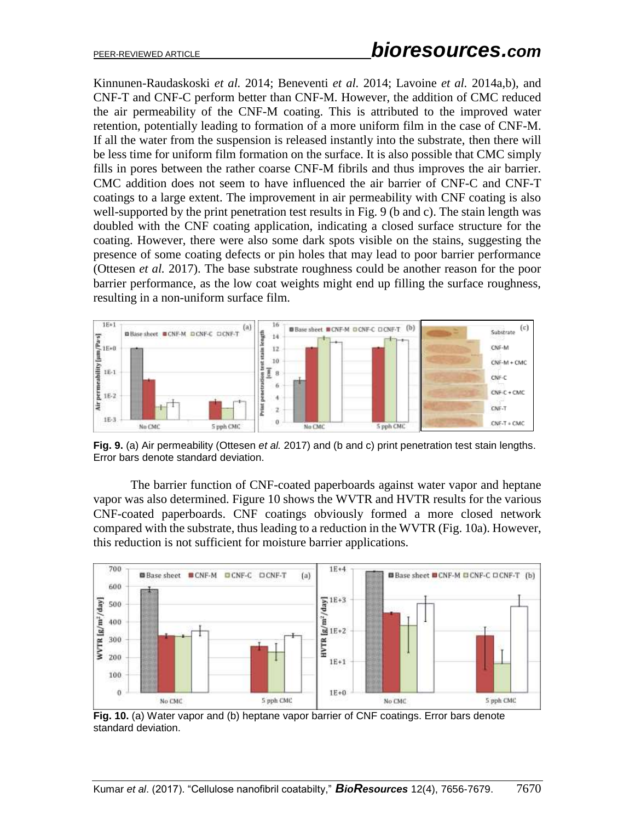Kinnunen-Raudaskoski *et al.* 2014; Beneventi *et al.* 2014; Lavoine *et al.* 2014a,b), and CNF-T and CNF-C perform better than CNF-M. However, the addition of CMC reduced the air permeability of the CNF-M coating. This is attributed to the improved water retention, potentially leading to formation of a more uniform film in the case of CNF-M. If all the water from the suspension is released instantly into the substrate, then there will be less time for uniform film formation on the surface. It is also possible that CMC simply fills in pores between the rather coarse CNF-M fibrils and thus improves the air barrier. CMC addition does not seem to have influenced the air barrier of CNF-C and CNF-T coatings to a large extent. The improvement in air permeability with CNF coating is also well-supported by the print penetration test results in Fig. 9 (b and c). The stain length was doubled with the CNF coating application, indicating a closed surface structure for the coating. However, there were also some dark spots visible on the stains, suggesting the presence of some coating defects or pin holes that may lead to poor barrier performance (Ottesen *et al.* 2017). The base substrate roughness could be another reason for the poor barrier performance, as the low coat weights might end up filling the surface roughness, resulting in a non-uniform surface film.



**Fig. 9.** (a) Air permeability (Ottesen *et al.* 2017) and (b and c) print penetration test stain lengths. Error bars denote standard deviation.

The barrier function of CNF-coated paperboards against water vapor and heptane vapor was also determined. Figure 10 shows the WVTR and HVTR results for the various CNF-coated paperboards. CNF coatings obviously formed a more closed network compared with the substrate, thus leading to a reduction in the WVTR (Fig. 10a). However, this reduction is not sufficient for moisture barrier applications.



**Fig. 10.** (a) Water vapor and (b) heptane vapor barrier of CNF coatings. Error bars denote standard deviation.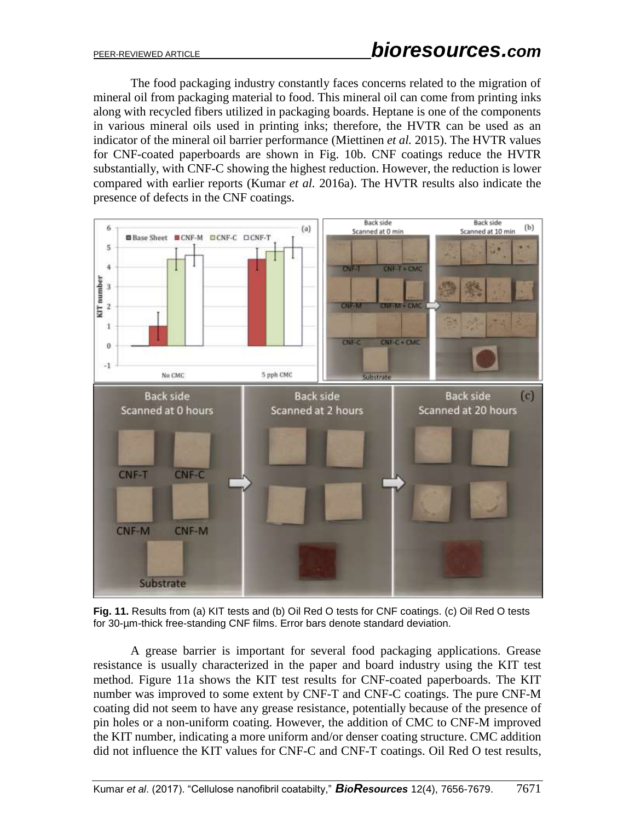The food packaging industry constantly faces concerns related to the migration of mineral oil from packaging material to food. This mineral oil can come from printing inks along with recycled fibers utilized in packaging boards. Heptane is one of the components in various mineral oils used in printing inks; therefore, the HVTR can be used as an indicator of the mineral oil barrier performance (Miettinen *et al.* 2015). The HVTR values for CNF-coated paperboards are shown in Fig. 10b. CNF coatings reduce the HVTR substantially, with CNF-C showing the highest reduction. However, the reduction is lower compared with earlier reports (Kumar *et al.* 2016a). The HVTR results also indicate the presence of defects in the CNF coatings.



**Fig. 11.** Results from (a) KIT tests and (b) Oil Red O tests for CNF coatings. (c) Oil Red O tests for 30-µm-thick free-standing CNF films. Error bars denote standard deviation.

A grease barrier is important for several food packaging applications. Grease resistance is usually characterized in the paper and board industry using the KIT test method. Figure 11a shows the KIT test results for CNF-coated paperboards. The KIT number was improved to some extent by CNF-T and CNF-C coatings. The pure CNF-M coating did not seem to have any grease resistance, potentially because of the presence of pin holes or a non-uniform coating. However, the addition of CMC to CNF-M improved the KIT number, indicating a more uniform and/or denser coating structure. CMC addition did not influence the KIT values for CNF-C and CNF-T coatings. Oil Red O test results,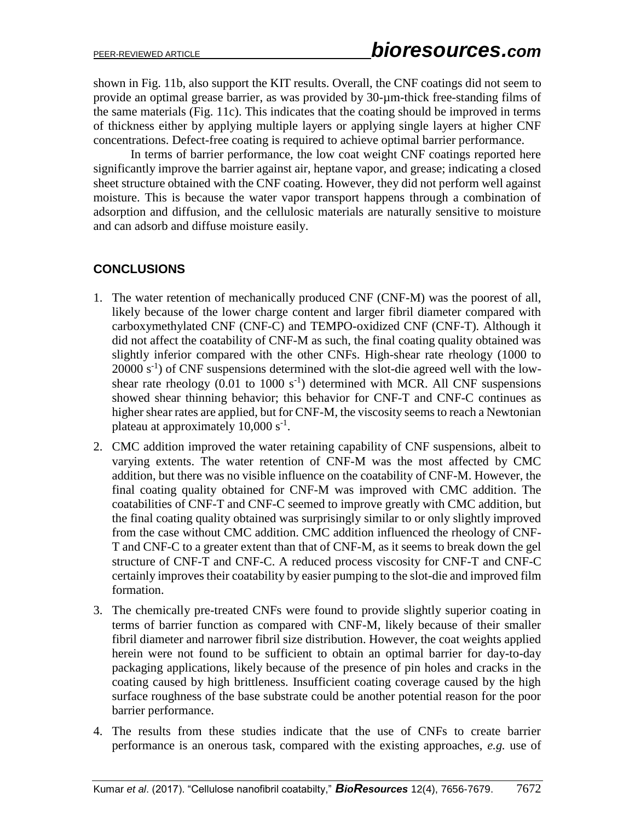shown in Fig. 11b, also support the KIT results. Overall, the CNF coatings did not seem to provide an optimal grease barrier, as was provided by 30-µm-thick free-standing films of the same materials (Fig. 11c). This indicates that the coating should be improved in terms of thickness either by applying multiple layers or applying single layers at higher CNF concentrations. Defect-free coating is required to achieve optimal barrier performance.

In terms of barrier performance, the low coat weight CNF coatings reported here significantly improve the barrier against air, heptane vapor, and grease; indicating a closed sheet structure obtained with the CNF coating. However, they did not perform well against moisture. This is because the water vapor transport happens through a combination of adsorption and diffusion, and the cellulosic materials are naturally sensitive to moisture and can adsorb and diffuse moisture easily.

# **CONCLUSIONS**

- 1. The water retention of mechanically produced CNF (CNF-M) was the poorest of all, likely because of the lower charge content and larger fibril diameter compared with carboxymethylated CNF (CNF-C) and TEMPO-oxidized CNF (CNF-T). Although it did not affect the coatability of CNF-M as such, the final coating quality obtained was slightly inferior compared with the other CNFs. High-shear rate rheology (1000 to  $20000 \text{ s}^{-1}$ ) of CNF suspensions determined with the slot-die agreed well with the lowshear rate rheology  $(0.01 \text{ to } 1000 \text{ s}^{-1})$  determined with MCR. All CNF suspensions showed shear thinning behavior; this behavior for CNF-T and CNF-C continues as higher shear rates are applied, but for CNF-M, the viscosity seems to reach a Newtonian plateau at approximately 10,000 s<sup>-1</sup>.
- 2. CMC addition improved the water retaining capability of CNF suspensions, albeit to varying extents. The water retention of CNF-M was the most affected by CMC addition, but there was no visible influence on the coatability of CNF-M. However, the final coating quality obtained for CNF-M was improved with CMC addition. The coatabilities of CNF-T and CNF-C seemed to improve greatly with CMC addition, but the final coating quality obtained was surprisingly similar to or only slightly improved from the case without CMC addition. CMC addition influenced the rheology of CNF-T and CNF-C to a greater extent than that of CNF-M, as it seems to break down the gel structure of CNF-T and CNF-C. A reduced process viscosity for CNF-T and CNF-C certainly improves their coatability by easier pumping to the slot-die and improved film formation.
- 3. The chemically pre-treated CNFs were found to provide slightly superior coating in terms of barrier function as compared with CNF-M, likely because of their smaller fibril diameter and narrower fibril size distribution. However, the coat weights applied herein were not found to be sufficient to obtain an optimal barrier for day-to-day packaging applications, likely because of the presence of pin holes and cracks in the coating caused by high brittleness. Insufficient coating coverage caused by the high surface roughness of the base substrate could be another potential reason for the poor barrier performance.
- 4. The results from these studies indicate that the use of CNFs to create barrier performance is an onerous task, compared with the existing approaches, *e.g.* use of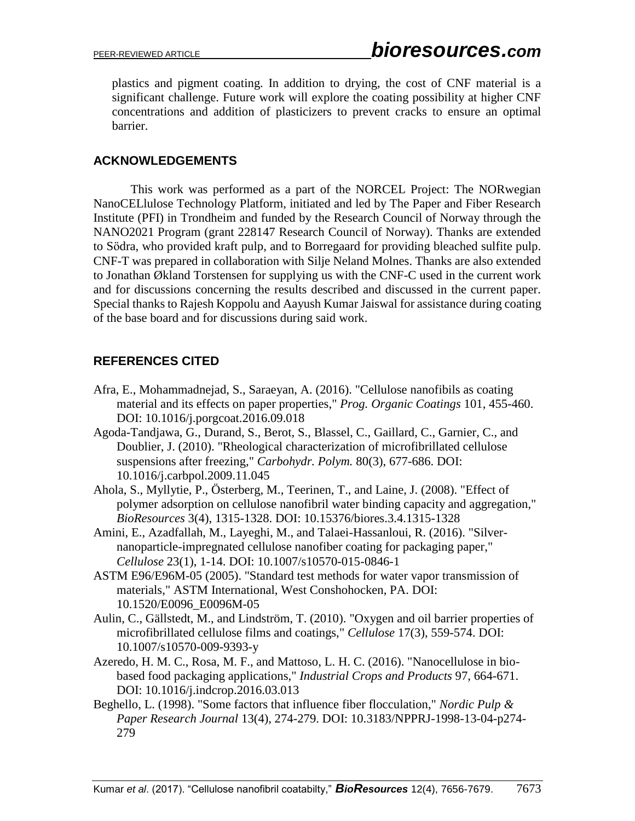plastics and pigment coating. In addition to drying, the cost of CNF material is a significant challenge. Future work will explore the coating possibility at higher CNF concentrations and addition of plasticizers to prevent cracks to ensure an optimal barrier.

## **ACKNOWLEDGEMENTS**

This work was performed as a part of the NORCEL Project: The NORwegian NanoCELlulose Technology Platform, initiated and led by The Paper and Fiber Research Institute (PFI) in Trondheim and funded by the Research Council of Norway through the NANO2021 Program (grant 228147 Research Council of Norway). Thanks are extended to Södra, who provided kraft pulp, and to Borregaard for providing bleached sulfite pulp. CNF-T was prepared in collaboration with Silje Neland Molnes. Thanks are also extended to Jonathan Økland Torstensen for supplying us with the CNF-C used in the current work and for discussions concerning the results described and discussed in the current paper. Special thanks to Rajesh Koppolu and Aayush Kumar Jaiswal for assistance during coating of the base board and for discussions during said work.

# **REFERENCES CITED**

- Afra, E., Mohammadnejad, S., Saraeyan, A. (2016). "Cellulose nanofibils as coating material and its effects on paper properties," *Prog. Organic Coatings* 101, 455-460. DOI: 10.1016/j.porgcoat.2016.09.018
- Agoda-Tandjawa, G., Durand, S., Berot, S., Blassel, C., Gaillard, C., Garnier, C., and Doublier, J. (2010). "Rheological characterization of microfibrillated cellulose suspensions after freezing," *Carbohydr. Polym.* 80(3), 677-686. DOI: 10.1016/j.carbpol.2009.11.045
- Ahola, S., Myllytie, P., Österberg, M., Teerinen, T., and Laine, J. (2008). "Effect of polymer adsorption on cellulose nanofibril water binding capacity and aggregation," *BioResources* 3(4), 1315-1328. DOI: 10.15376/biores.3.4.1315-1328
- Amini, E., Azadfallah, M., Layeghi, M., and Talaei-Hassanloui, R. (2016). "Silvernanoparticle-impregnated cellulose nanofiber coating for packaging paper," *Cellulose* 23(1), 1-14. DOI: 10.1007/s10570-015-0846-1
- ASTM E96/E96M-05 (2005). "Standard test methods for water vapor transmission of materials," ASTM International, West Conshohocken, PA. DOI: 10.1520/E0096\_E0096M-05
- Aulin, C., Gällstedt, M., and Lindström, T. (2010). "Oxygen and oil barrier properties of microfibrillated cellulose films and coatings," *Cellulose* 17(3), 559-574. DOI: 10.1007/s10570-009-9393-y
- Azeredo, H. M. C., Rosa, M. F., and Mattoso, L. H. C. (2016). "Nanocellulose in biobased food packaging applications," *Industrial Crops and Products* 97, 664-671. DOI: 10.1016/j.indcrop.2016.03.013
- Beghello, L. (1998). "Some factors that influence fiber flocculation," *Nordic Pulp & Paper Research Journal* 13(4), 274-279. DOI: 10.3183/NPPRJ-1998-13-04-p274- 279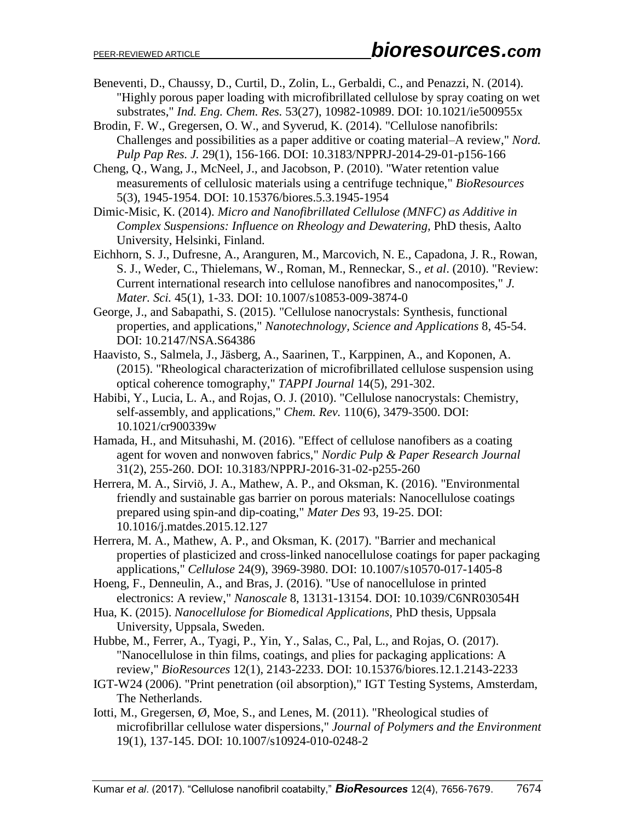- Beneventi, D., Chaussy, D., Curtil, D., Zolin, L., Gerbaldi, C., and Penazzi, N. (2014). "Highly porous paper loading with microfibrillated cellulose by spray coating on wet substrates," *Ind. Eng. Chem. Res.* 53(27), 10982-10989. DOI: 10.1021/ie500955x
- Brodin, F. W., Gregersen, O. W., and Syverud, K. (2014). "Cellulose nanofibrils: Challenges and possibilities as a paper additive or coating material–A review," *Nord. Pulp Pap Res. J.* 29(1), 156-166. DOI: 10.3183/NPPRJ-2014-29-01-p156-166
- Cheng, Q., Wang, J., McNeel, J., and Jacobson, P. (2010). "Water retention value measurements of cellulosic materials using a centrifuge technique," *BioResources*  5(3), 1945-1954. DOI: 10.15376/biores.5.3.1945-1954
- Dimic-Misic, K. (2014). *Micro and Nanofibrillated Cellulose (MNFC) as Additive in Complex Suspensions: Influence on Rheology and Dewatering,* PhD thesis, Aalto University, Helsinki, Finland.
- Eichhorn, S. J., Dufresne, A., Aranguren, M., Marcovich, N. E., Capadona, J. R., Rowan, S. J., Weder, C., Thielemans, W., Roman, M., Renneckar, S.*, et al*. (2010). "Review: Current international research into cellulose nanofibres and nanocomposites," *J. Mater. Sci.* 45(1), 1-33. DOI: 10.1007/s10853-009-3874-0
- George, J., and Sabapathi, S. (2015). "Cellulose nanocrystals: Synthesis, functional properties, and applications," *Nanotechnology, Science and Applications* 8, 45-54. DOI: 10.2147/NSA.S64386
- Haavisto, S., Salmela, J., Jäsberg, A., Saarinen, T., Karppinen, A., and Koponen, A. (2015). "Rheological characterization of microfibrillated cellulose suspension using optical coherence tomography," *TAPPI Journal* 14(5), 291-302.
- Habibi, Y., Lucia, L. A., and Rojas, O. J. (2010). "Cellulose nanocrystals: Chemistry, self-assembly, and applications," *Chem. Rev.* 110(6), 3479-3500. DOI: 10.1021/cr900339w
- Hamada, H., and Mitsuhashi, M. (2016). "Effect of cellulose nanofibers as a coating agent for woven and nonwoven fabrics," *Nordic Pulp & Paper Research Journal*  31(2), 255-260. DOI: 10.3183/NPPRJ-2016-31-02-p255-260
- Herrera, M. A., Sirviö, J. A., Mathew, A. P., and Oksman, K. (2016). "Environmental friendly and sustainable gas barrier on porous materials: Nanocellulose coatings prepared using spin-and dip-coating," *Mater Des* 93, 19-25. DOI: 10.1016/j.matdes.2015.12.127
- Herrera, M. A., Mathew, A. P., and Oksman, K. (2017). "Barrier and mechanical properties of plasticized and cross-linked nanocellulose coatings for paper packaging applications," *Cellulose* 24(9), 3969-3980. DOI: 10.1007/s10570-017-1405-8
- Hoeng, F., Denneulin, A., and Bras, J. (2016). "Use of nanocellulose in printed electronics: A review," *Nanoscale* 8, 13131-13154. DOI: 10.1039/C6NR03054H
- Hua, K. (2015). *Nanocellulose for Biomedical Applications,* PhD thesis, Uppsala University, Uppsala, Sweden.
- Hubbe, M., Ferrer, A., Tyagi, P., Yin, Y., Salas, C., Pal, L., and Rojas, O. (2017). "Nanocellulose in thin films, coatings, and plies for packaging applications: A review," *BioResources* 12(1), 2143-2233. DOI: 10.15376/biores.12.1.2143-2233
- IGT-W24 (2006). "Print penetration (oil absorption)," IGT Testing Systems, Amsterdam, The Netherlands.
- Iotti, M., Gregersen, Ø, Moe, S., and Lenes, M. (2011). "Rheological studies of microfibrillar cellulose water dispersions," *Journal of Polymers and the Environment*  19(1), 137-145. DOI: 10.1007/s10924-010-0248-2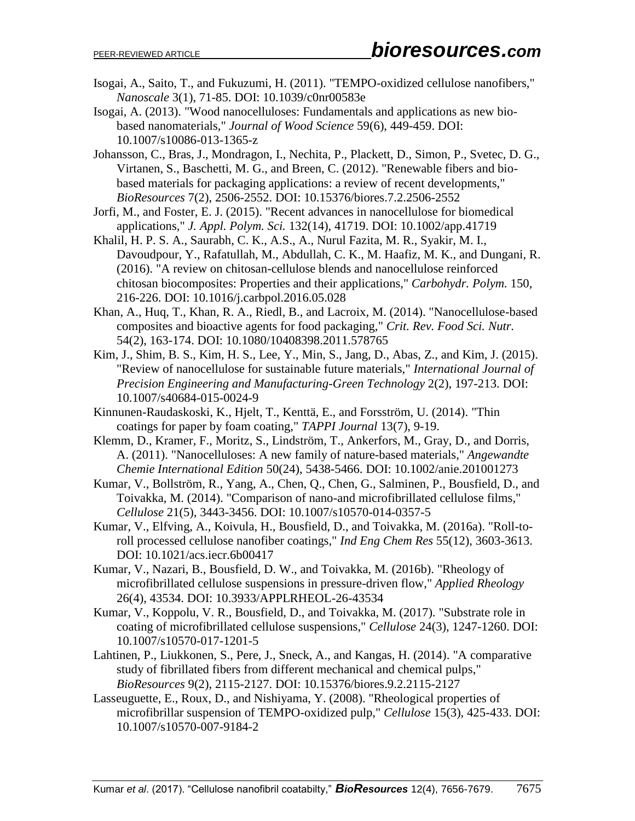- Isogai, A., Saito, T., and Fukuzumi, H. (2011). "TEMPO-oxidized cellulose nanofibers," *Nanoscale* 3(1), 71-85. DOI: 10.1039/c0nr00583e
- Isogai, A. (2013). "Wood nanocelluloses: Fundamentals and applications as new biobased nanomaterials," *Journal of Wood Science* 59(6), 449-459. DOI: 10.1007/s10086-013-1365-z
- Johansson, C., Bras, J., Mondragon, I., Nechita, P., Plackett, D., Simon, P., Svetec, D. G., Virtanen, S., Baschetti, M. G., and Breen, C. (2012). "Renewable fibers and biobased materials for packaging applications: a review of recent developments," *BioResources* 7(2), 2506-2552. DOI: 10.15376/biores.7.2.2506-2552
- Jorfi, M., and Foster, E. J. (2015). "Recent advances in nanocellulose for biomedical applications," *J. Appl. Polym. Sci.* 132(14), 41719. DOI: 10.1002/app.41719
- Khalil, H. P. S. A., Saurabh, C. K., A.S., A., Nurul Fazita, M. R., Syakir, M. I., Davoudpour, Y., Rafatullah, M., Abdullah, C. K., M. Haafiz, M. K., and Dungani, R. (2016). "A review on chitosan-cellulose blends and nanocellulose reinforced chitosan biocomposites: Properties and their applications," *Carbohydr. Polym.* 150, 216-226. DOI: 10.1016/j.carbpol.2016.05.028
- Khan, A., Huq, T., Khan, R. A., Riedl, B., and Lacroix, M. (2014). "Nanocellulose-based composites and bioactive agents for food packaging," *Crit. Rev. Food Sci. Nutr.*  54(2), 163-174. DOI: 10.1080/10408398.2011.578765
- Kim, J., Shim, B. S., Kim, H. S., Lee, Y., Min, S., Jang, D., Abas, Z., and Kim, J. (2015). "Review of nanocellulose for sustainable future materials," *International Journal of Precision Engineering and Manufacturing-Green Technology* 2(2), 197-213. DOI: 10.1007/s40684-015-0024-9
- Kinnunen-Raudaskoski, K., Hjelt, T., Kenttä, E., and Forsström, U. (2014). "Thin coatings for paper by foam coating," *TAPPI Journal* 13(7), 9-19.
- Klemm, D., Kramer, F., Moritz, S., Lindström, T., Ankerfors, M., Gray, D., and Dorris, A. (2011). "Nanocelluloses: A new family of nature-based materials," *Angewandte Chemie International Edition* 50(24), 5438-5466. DOI: 10.1002/anie.201001273
- Kumar, V., Bollström, R., Yang, A., Chen, Q., Chen, G., Salminen, P., Bousfield, D., and Toivakka, M. (2014). "Comparison of nano-and microfibrillated cellulose films," *Cellulose* 21(5), 3443-3456. DOI: 10.1007/s10570-014-0357-5
- Kumar, V., Elfving, A., Koivula, H., Bousfield, D., and Toivakka, M. (2016a). "Roll-toroll processed cellulose nanofiber coatings," *Ind Eng Chem Res* 55(12), 3603-3613. DOI: 10.1021/acs.iecr.6b00417
- Kumar, V., Nazari, B., Bousfield, D. W., and Toivakka, M. (2016b). "Rheology of microfibrillated cellulose suspensions in pressure-driven flow," *Applied Rheology*  26(4), 43534. DOI: 10.3933/APPLRHEOL-26-43534
- Kumar, V., Koppolu, V. R., Bousfield, D., and Toivakka, M. (2017). "Substrate role in coating of microfibrillated cellulose suspensions," *Cellulose* 24(3), 1247-1260. DOI: 10.1007/s10570-017-1201-5
- Lahtinen, P., Liukkonen, S., Pere, J., Sneck, A., and Kangas, H. (2014). "A comparative study of fibrillated fibers from different mechanical and chemical pulps," *BioResources* 9(2), 2115-2127. DOI: 10.15376/biores.9.2.2115-2127
- Lasseuguette, E., Roux, D., and Nishiyama, Y. (2008). "Rheological properties of microfibrillar suspension of TEMPO-oxidized pulp," *Cellulose* 15(3), 425-433. DOI: 10.1007/s10570-007-9184-2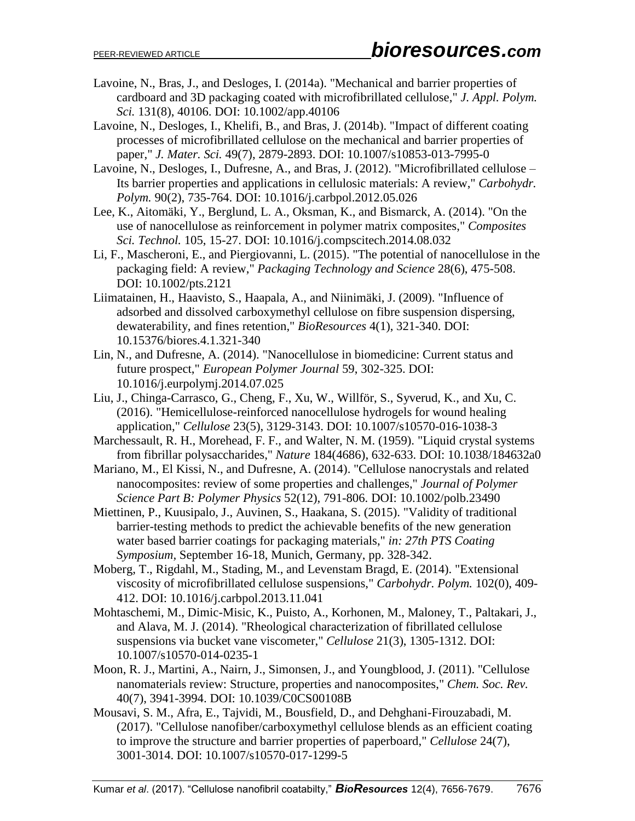- Lavoine, N., Bras, J., and Desloges, I. (2014a). "Mechanical and barrier properties of cardboard and 3D packaging coated with microfibrillated cellulose," *J. Appl. Polym. Sci.* 131(8), 40106. DOI: 10.1002/app.40106
- Lavoine, N., Desloges, I., Khelifi, B., and Bras, J. (2014b). "Impact of different coating processes of microfibrillated cellulose on the mechanical and barrier properties of paper," *J. Mater. Sci.* 49(7), 2879-2893. DOI: 10.1007/s10853-013-7995-0
- Lavoine, N., Desloges, I., Dufresne, A., and Bras, J. (2012). "Microfibrillated cellulose Its barrier properties and applications in cellulosic materials: A review," *Carbohydr. Polym.* 90(2), 735-764. DOI: 10.1016/j.carbpol.2012.05.026
- Lee, K., Aitomäki, Y., Berglund, L. A., Oksman, K., and Bismarck, A. (2014). "On the use of nanocellulose as reinforcement in polymer matrix composites," *Composites Sci. Technol.* 105, 15-27. DOI: 10.1016/j.compscitech.2014.08.032
- Li, F., Mascheroni, E., and Piergiovanni, L. (2015). "The potential of nanocellulose in the packaging field: A review," *Packaging Technology and Science* 28(6), 475-508. DOI: 10.1002/pts.2121
- Liimatainen, H., Haavisto, S., Haapala, A., and Niinimäki, J. (2009). "Influence of adsorbed and dissolved carboxymethyl cellulose on fibre suspension dispersing, dewaterability, and fines retention," *BioResources* 4(1), 321-340. DOI: 10.15376/biores.4.1.321-340
- Lin, N., and Dufresne, A. (2014). "Nanocellulose in biomedicine: Current status and future prospect," *European Polymer Journal* 59, 302-325. DOI: 10.1016/j.eurpolymj.2014.07.025
- Liu, J., Chinga-Carrasco, G., Cheng, F., Xu, W., Willför, S., Syverud, K., and Xu, C. (2016). "Hemicellulose-reinforced nanocellulose hydrogels for wound healing application," *Cellulose* 23(5), 3129-3143. DOI: 10.1007/s10570-016-1038-3
- Marchessault, R. H., Morehead, F. F., and Walter, N. M. (1959). "Liquid crystal systems from fibrillar polysaccharides," *Nature* 184(4686), 632-633. DOI: 10.1038/184632a0
- Mariano, M., El Kissi, N., and Dufresne, A. (2014). "Cellulose nanocrystals and related nanocomposites: review of some properties and challenges," *Journal of Polymer Science Part B: Polymer Physics* 52(12), 791-806. DOI: 10.1002/polb.23490
- Miettinen, P., Kuusipalo, J., Auvinen, S., Haakana, S. (2015). "Validity of traditional barrier-testing methods to predict the achievable benefits of the new generation water based barrier coatings for packaging materials," *in: 27th PTS Coating Symposium,* September 16-18, Munich, Germany, pp. 328-342.
- Moberg, T., Rigdahl, M., Stading, M., and Levenstam Bragd, E. (2014). "Extensional viscosity of microfibrillated cellulose suspensions," *Carbohydr. Polym.* 102(0), 409- 412. DOI: 10.1016/j.carbpol.2013.11.041
- Mohtaschemi, M., Dimic-Misic, K., Puisto, A., Korhonen, M., Maloney, T., Paltakari, J., and Alava, M. J. (2014). "Rheological characterization of fibrillated cellulose suspensions via bucket vane viscometer," *Cellulose* 21(3), 1305-1312. DOI: 10.1007/s10570-014-0235-1
- Moon, R. J., Martini, A., Nairn, J., Simonsen, J., and Youngblood, J. (2011). "Cellulose nanomaterials review: Structure, properties and nanocomposites," *Chem. Soc. Rev.*  40(7), 3941-3994. DOI: 10.1039/C0CS00108B
- Mousavi, S. M., Afra, E., Tajvidi, M., Bousfield, D., and Dehghani-Firouzabadi, M. (2017). "Cellulose nanofiber/carboxymethyl cellulose blends as an efficient coating to improve the structure and barrier properties of paperboard," *Cellulose* 24(7), 3001-3014. DOI: 10.1007/s10570-017-1299-5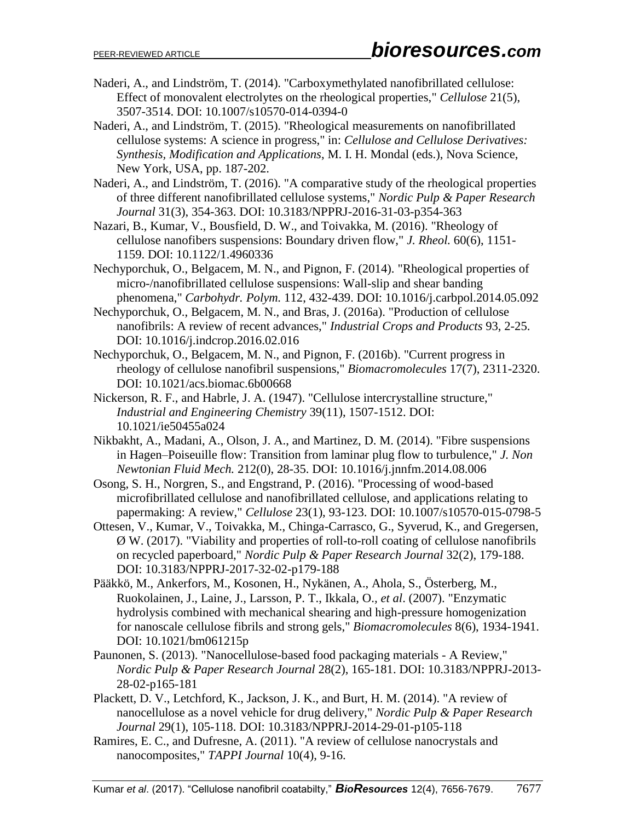- Naderi, A., and Lindström, T. (2014). "Carboxymethylated nanofibrillated cellulose: Effect of monovalent electrolytes on the rheological properties," *Cellulose* 21(5), 3507-3514. DOI: 10.1007/s10570-014-0394-0
- Naderi, A., and Lindström, T. (2015). "Rheological measurements on nanofibrillated cellulose systems: A science in progress," in: *Cellulose and Cellulose Derivatives: Synthesis, Modification and Applications*, M. I. H. Mondal (eds.), Nova Science, New York, USA, pp. 187-202.
- Naderi, A., and Lindström, T. (2016). "A comparative study of the rheological properties of three different nanofibrillated cellulose systems," *Nordic Pulp & Paper Research Journal* 31(3), 354-363. DOI: 10.3183/NPPRJ-2016-31-03-p354-363
- Nazari, B., Kumar, V., Bousfield, D. W., and Toivakka, M. (2016). "Rheology of cellulose nanofibers suspensions: Boundary driven flow," *J. Rheol.* 60(6), 1151- 1159. DOI: 10.1122/1.4960336
- Nechyporchuk, O., Belgacem, M. N., and Pignon, F. (2014). "Rheological properties of micro-/nanofibrillated cellulose suspensions: Wall-slip and shear banding phenomena," *Carbohydr. Polym.* 112, 432-439. DOI: 10.1016/j.carbpol.2014.05.092
- Nechyporchuk, O., Belgacem, M. N., and Bras, J. (2016a). "Production of cellulose nanofibrils: A review of recent advances," *Industrial Crops and Products* 93, 2-25. DOI: 10.1016/j.indcrop.2016.02.016
- Nechyporchuk, O., Belgacem, M. N., and Pignon, F. (2016b). "Current progress in rheology of cellulose nanofibril suspensions," *Biomacromolecules* 17(7), 2311-2320. DOI: 10.1021/acs.biomac.6b00668
- Nickerson, R. F., and Habrle, J. A. (1947). "Cellulose intercrystalline structure," *Industrial and Engineering Chemistry* 39(11), 1507-1512. DOI: 10.1021/ie50455a024
- Nikbakht, A., Madani, A., Olson, J. A., and Martinez, D. M. (2014). "Fibre suspensions in Hagen–Poiseuille flow: Transition from laminar plug flow to turbulence," *J. Non Newtonian Fluid Mech.* 212(0), 28-35. DOI: 10.1016/j.jnnfm.2014.08.006
- Osong, S. H., Norgren, S., and Engstrand, P. (2016). "Processing of wood-based microfibrillated cellulose and nanofibrillated cellulose, and applications relating to papermaking: A review," *Cellulose* 23(1), 93-123. DOI: 10.1007/s10570-015-0798-5
- Ottesen, V., Kumar, V., Toivakka, M., Chinga-Carrasco, G., Syverud, K., and Gregersen, Ø W. (2017). "Viability and properties of roll-to-roll coating of cellulose nanofibrils on recycled paperboard," *Nordic Pulp & Paper Research Journal* 32(2), 179-188. DOI: 10.3183/NPPRJ-2017-32-02-p179-188
- Pääkkö, M., Ankerfors, M., Kosonen, H., Nykänen, A., Ahola, S., Österberg, M., Ruokolainen, J., Laine, J., Larsson, P. T., Ikkala, O.*, et al*. (2007). "Enzymatic hydrolysis combined with mechanical shearing and high-pressure homogenization for nanoscale cellulose fibrils and strong gels," *Biomacromolecules* 8(6), 1934-1941. DOI: 10.1021/bm061215p
- Paunonen, S. (2013). "Nanocellulose-based food packaging materials A Review," *Nordic Pulp & Paper Research Journal* 28(2), 165-181. DOI: 10.3183/NPPRJ-2013- 28-02-p165-181
- Plackett, D. V., Letchford, K., Jackson, J. K., and Burt, H. M. (2014). "A review of nanocellulose as a novel vehicle for drug delivery," *Nordic Pulp & Paper Research Journal* 29(1), 105-118. DOI: 10.3183/NPPRJ-2014-29-01-p105-118
- Ramires, E. C., and Dufresne, A. (2011). "A review of cellulose nanocrystals and nanocomposites," *TAPPI Journal* 10(4), 9-16.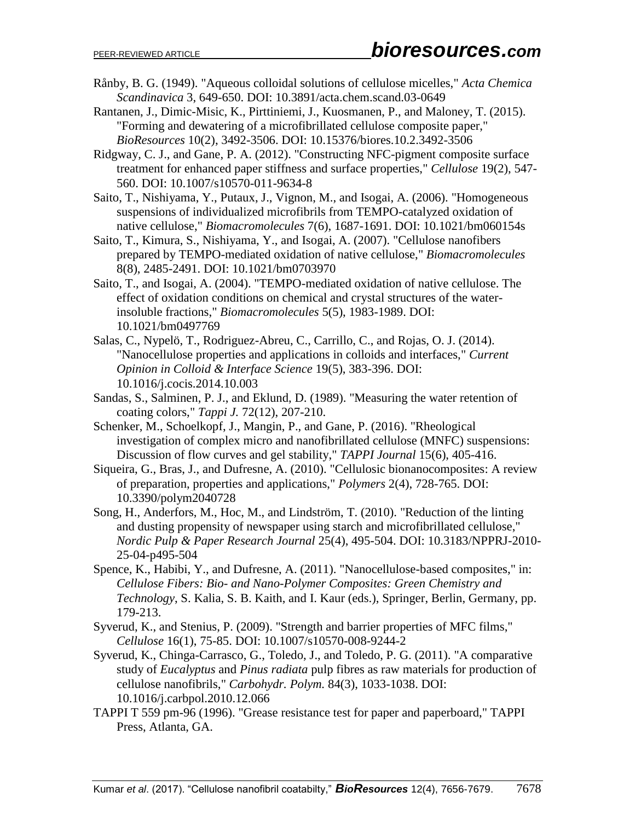- Rånby, B. G. (1949). "Aqueous colloidal solutions of cellulose micelles," *Acta Chemica Scandinavica* 3, 649-650. DOI: 10.3891/acta.chem.scand.03-0649
- Rantanen, J., Dimic-Misic, K., Pirttiniemi, J., Kuosmanen, P., and Maloney, T. (2015). "Forming and dewatering of a microfibrillated cellulose composite paper," *BioResources* 10(2), 3492-3506. DOI: 10.15376/biores.10.2.3492-3506
- Ridgway, C. J., and Gane, P. A. (2012). "Constructing NFC-pigment composite surface treatment for enhanced paper stiffness and surface properties," *Cellulose* 19(2), 547- 560. DOI: 10.1007/s10570-011-9634-8
- Saito, T., Nishiyama, Y., Putaux, J., Vignon, M., and Isogai, A. (2006). "Homogeneous suspensions of individualized microfibrils from TEMPO-catalyzed oxidation of native cellulose," *Biomacromolecules* 7(6), 1687-1691. DOI: 10.1021/bm060154s
- Saito, T., Kimura, S., Nishiyama, Y., and Isogai, A. (2007). "Cellulose nanofibers prepared by TEMPO-mediated oxidation of native cellulose," *Biomacromolecules*  8(8), 2485-2491. DOI: 10.1021/bm0703970
- Saito, T., and Isogai, A. (2004). "TEMPO-mediated oxidation of native cellulose. The effect of oxidation conditions on chemical and crystal structures of the waterinsoluble fractions," *Biomacromolecules* 5(5), 1983-1989. DOI: 10.1021/bm0497769
- Salas, C., Nypelö, T., Rodriguez-Abreu, C., Carrillo, C., and Rojas, O. J. (2014). "Nanocellulose properties and applications in colloids and interfaces," *Current Opinion in Colloid & Interface Science* 19(5), 383-396. DOI: 10.1016/j.cocis.2014.10.003
- Sandas, S., Salminen, P. J., and Eklund, D. (1989). "Measuring the water retention of coating colors," *Tappi J.* 72(12), 207-210.
- Schenker, M., Schoelkopf, J., Mangin, P., and Gane, P. (2016). "Rheological investigation of complex micro and nanofibrillated cellulose (MNFC) suspensions: Discussion of flow curves and gel stability," *TAPPI Journal* 15(6), 405-416.
- Siqueira, G., Bras, J., and Dufresne, A. (2010). "Cellulosic bionanocomposites: A review of preparation, properties and applications," *Polymers* 2(4), 728-765. DOI: 10.3390/polym2040728
- Song, H., Anderfors, M., Hoc, M., and Lindström, T. (2010). "Reduction of the linting and dusting propensity of newspaper using starch and microfibrillated cellulose," *Nordic Pulp & Paper Research Journal* 25(4), 495-504. DOI: 10.3183/NPPRJ-2010- 25-04-p495-504
- Spence, K., Habibi, Y., and Dufresne, A. (2011). "Nanocellulose-based composites," in: *Cellulose Fibers: Bio- and Nano-Polymer Composites: Green Chemistry and Technology*, S. Kalia, S. B. Kaith, and I. Kaur (eds.), Springer, Berlin, Germany, pp. 179-213.
- Syverud, K., and Stenius, P. (2009). "Strength and barrier properties of MFC films," *Cellulose* 16(1), 75-85. DOI: 10.1007/s10570-008-9244-2
- Syverud, K., Chinga-Carrasco, G., Toledo, J., and Toledo, P. G. (2011). "A comparative study of *Eucalyptus* and *Pinus radiata* pulp fibres as raw materials for production of cellulose nanofibrils," *Carbohydr. Polym.* 84(3), 1033-1038. DOI: 10.1016/j.carbpol.2010.12.066
- TAPPI T 559 pm-96 (1996). "Grease resistance test for paper and paperboard," TAPPI Press, Atlanta, GA.